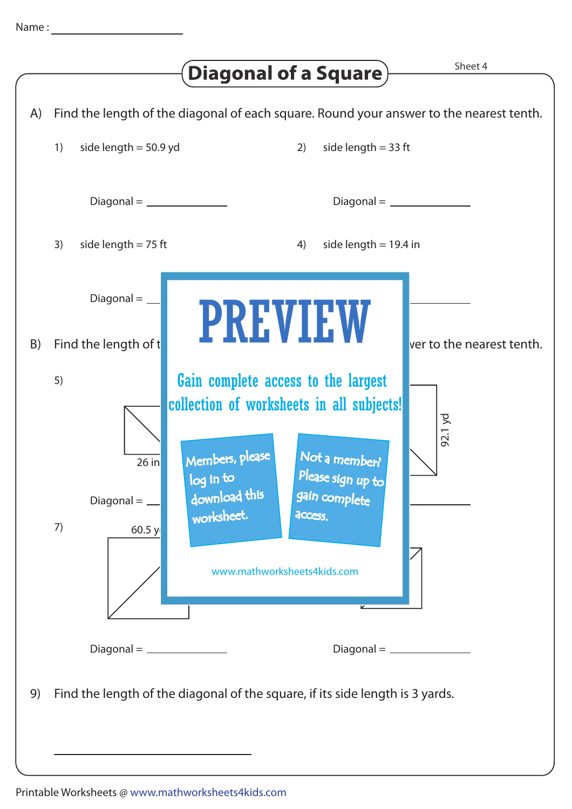